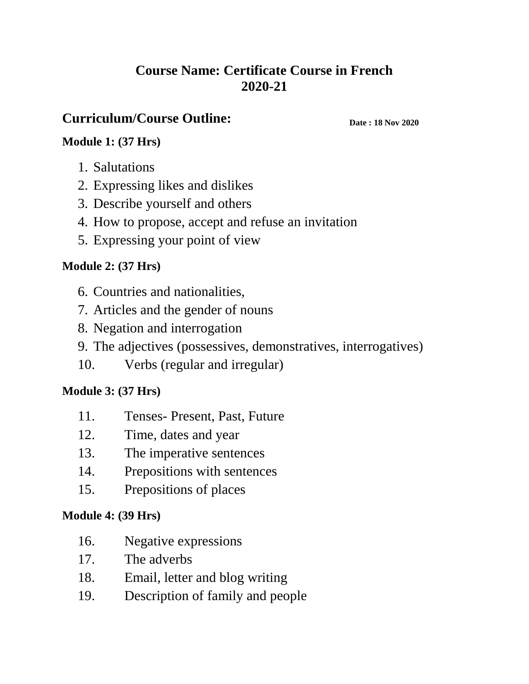### **Course Name: Certificate Course in French 2020-21**

### **Curriculum/Course Outline:**

**Date : 18 Nov 2020**

### **Module 1: (37 Hrs)**

- 1. Salutations
- 2. Expressing likes and dislikes
- 3. Describe yourself and others
- 4. How to propose, accept and refuse an invitation
- 5. Expressing your point of view

#### **Module 2: (37 Hrs)**

- 6. Countries and nationalities,
- 7. Articles and the gender of nouns
- 8. Negation and interrogation
- 9. The adjectives (possessives, demonstratives, interrogatives)
- 10. Verbs (regular and irregular)

#### **Module 3: (37 Hrs)**

- 11. Tenses- Present, Past, Future
- 12. Time, dates and year
- 13. The imperative sentences
- 14. Prepositions with sentences
- 15. Prepositions of places

#### **Module 4: (39 Hrs)**

- 16. Negative expressions
- 17. The adverbs
- 18. Email, letter and blog writing
- 19. Description of family and people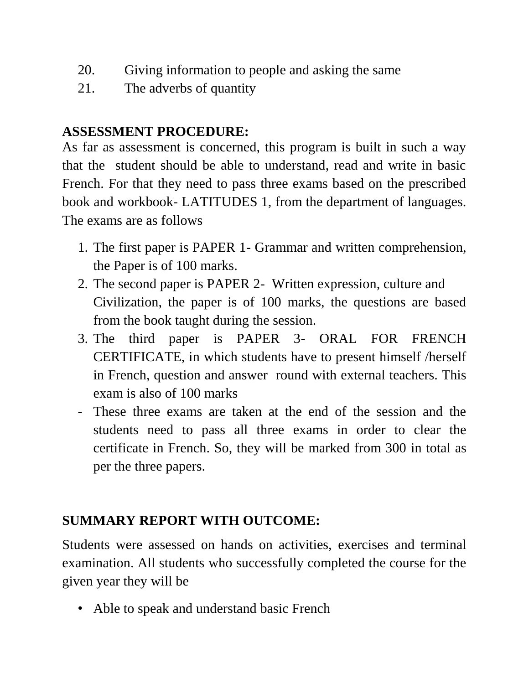- 20. Giving information to people and asking the same
- 21. The adverbs of quantity

## **ASSESSMENT PROCEDURE:**

As far as assessment is concerned, this program is built in such a way that the student should be able to understand, read and write in basic French. For that they need to pass three exams based on the prescribed book and workbook- LATITUDES 1, from the department of languages. The exams are as follows

- 1. The first paper is PAPER 1- Grammar and written comprehension, the Paper is of 100 marks.
- 2. The second paper is PAPER 2- Written expression, culture and Civilization, the paper is of 100 marks, the questions are based from the book taught during the session.
- 3. The third paper is PAPER 3- ORAL FOR FRENCH CERTIFICATE, in which students have to present himself /herself in French, question and answer round with external teachers. This exam is also of 100 marks
- These three exams are taken at the end of the session and the students need to pass all three exams in order to clear the certificate in French. So, they will be marked from 300 in total as per the three papers.

# **SUMMARY REPORT WITH OUTCOME:**

Students were assessed on hands on activities, exercises and terminal examination. All students who successfully completed the course for the given year they will be

• Able to speak and understand basic French